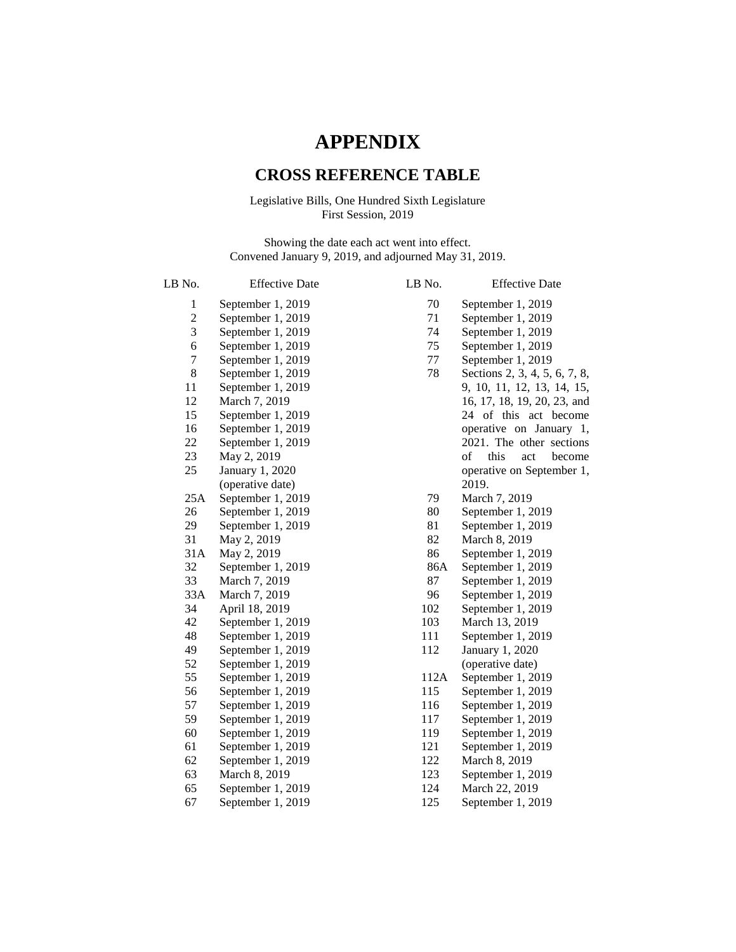# **APPENDIX**

## **CROSS REFERENCE TABLE**

## Legislative Bills, One Hundred Sixth Legislature First Session, 2019

Showing the date each act went into effect. Convened January 9, 2019, and adjourned May 31, 2019.

| LB No.         | <b>Effective Date</b> |
|----------------|-----------------------|
| 1              | September 1, 2019     |
| $\overline{c}$ | September 1, 2019     |
| 3              | September 1, 2019     |
| 6              | September 1, 2019     |
| 7              | September 1, 2019     |
| 8              | September 1, 2019     |
| 11             | September 1, 2019     |
| 12             | March 7, 2019         |
| 15             | September 1, 2019     |
| 16             | September 1, 2019     |
| 22             | September 1, 2019     |
| 23             | May 2, 2019           |
| 25             | January 1, 2020       |
|                | (operative date)      |
| 25A            | September 1, 2019     |
| 26             | September 1, 2019     |
| 29             | September 1, 2019     |
| 31             | May 2, 2019           |
| 31A            | May 2, 2019           |
| 32             | September 1, 2019     |
| 33             | March 7, 2019         |
| 33A            | March 7, 2019         |
| 34             | April 18, 2019        |
| 42             | September 1, 2019     |
| 48             | September 1, 2019     |
| 49             | September 1, 2019     |
| 52             | September 1, 2019     |
| 55             | September 1, 2019     |
| 56             | September 1, 2019     |
| 57             | September 1, 2019     |
| 59             | September 1, 2019     |
| 60             | September 1, 2019     |
| 61             | September 1, 2019     |
| 62             | September 1, 2019     |
| 63             | March 8, 2019         |
| 65             | September 1, 2019     |
| 67             | September 1, 2019     |

| LB No. | <b>Effective Date</b>         |
|--------|-------------------------------|
| 70     | September 1, 2019             |
| 71     | September 1, 2019             |
| 74     | September 1, 2019             |
| 75     | September 1, 2019             |
| 77     | September 1, 2019             |
| 78     | Sections 2, 3, 4, 5, 6, 7, 8, |
|        | 9, 10, 11, 12, 13, 14, 15,    |
|        | 16, 17, 18, 19, 20, 23, and   |
|        | of this act<br>24<br>become   |
|        | operative on January<br>1,    |
|        | 2021. The other sections      |
|        | become<br>this<br>act<br>of   |
|        | operative on September 1,     |
|        | 2019.                         |
| 79     | March 7, 2019                 |
| 80     | September 1, 2019             |
| 81     | September 1, 2019             |
| 82     | March 8, 2019                 |
| 86     | September 1, 2019             |
| 86A    | September 1, 2019             |
| 87     | September 1, 2019             |
| 96     | September 1, 2019             |
| 102    | September 1, 2019             |
| 103    | March 13, 2019                |
| 111    | September 1, 2019             |
| 112    | January 1, 2020               |
|        | (operative date)              |
| 112A   | September 1, 2019             |
| 115    | September 1, 2019             |
| 116    | September 1, 2019             |
| 117    | September 1, 2019             |
| 119    | September 1, 2019             |
| 121    | September 1, 2019             |
| 122    | March 8, 2019                 |
| 123    | September 1, 2019             |
| 124    | March 22, 2019                |
| 125    | September 1, 2019             |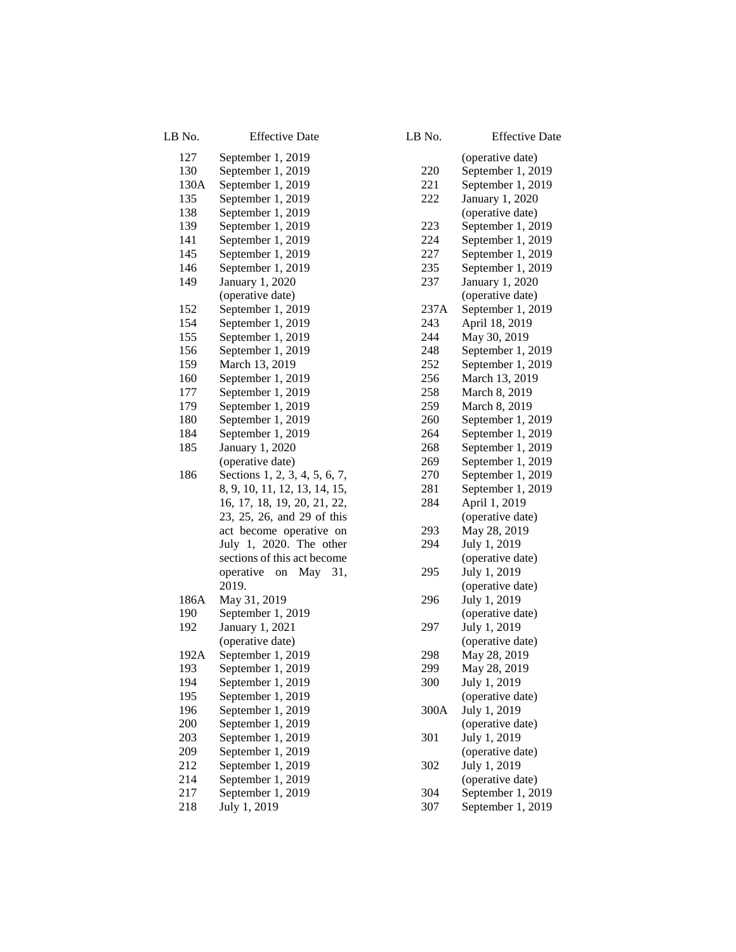| LB No. | <b>Effective Date</b>                                        |
|--------|--------------------------------------------------------------|
| 127    | September 1, 2019                                            |
| 130    | September 1, 2019                                            |
| 130A   | September 1, 2019                                            |
| 135    | September 1, 2019                                            |
| 138    | September 1, 2019                                            |
| 139    | September 1, 2019                                            |
| 141    | September 1, 2019                                            |
| 145    | September 1, 2019                                            |
| 146    | September 1, 2019                                            |
| 149    | January 1, 2020                                              |
|        | (operative date)                                             |
| 152    | September 1, 2019                                            |
| 154    | September 1, 2019                                            |
| 155    | September 1, 2019                                            |
| 156    | September 1, 2019                                            |
| 159    | March 13, 2019                                               |
| 160    | September 1, 2019                                            |
| 177    | September 1, 2019                                            |
| 179    | September 1, 2019                                            |
| 180    | September 1, 2019                                            |
| 184    | September 1, 2019                                            |
| 185    | January 1, 2020                                              |
|        | (operative date)                                             |
| 186    | Sections 1, 2, 3, 4, 5, 6, 7,                                |
|        |                                                              |
|        | 8, 9, 10, 11, 12, 13, 14, 15,<br>16, 17, 18, 19, 20, 21, 22, |
|        | 23, 25, 26, and 29 of this                                   |
|        | act become operative on                                      |
|        | July 1, 2020. The other                                      |
|        | sections of this act become                                  |
|        | operative on May 31,                                         |
|        | 2019.                                                        |
| 186A   | May 31, 2019                                                 |
| 190    | September 1, 2019                                            |
| 192    | January 1, 2021                                              |
|        | (operative date)                                             |
| 192A   | September 1, 2019                                            |
| 193    | September 1, 2019                                            |
| 194    | September 1, 2019                                            |
| 195    | September 1, 2019                                            |
| 196    | September 1, 2019                                            |
| 200    | September 1, 2019                                            |
| 203    | September 1, 2019                                            |
| 209    | September 1, 2019                                            |
| 212    | September 1, 2019                                            |
| 214    | September 1, 2019                                            |
| 217    | September 1, 2019                                            |
| 218    | July 1, 2019                                                 |

| LB No. | <b>Effective Date</b>                  |
|--------|----------------------------------------|
|        | (operative date)                       |
| 220    | September 1, 2019                      |
| 221    | September 1, 2019                      |
| 222    | January 1, 2020                        |
|        | (operative date)                       |
| 223    | September 1, 2019                      |
| 224    | September 1, 2019                      |
| 227    | September 1, 2019                      |
| 235    | September 1, 2019                      |
| 237    | January 1, 2020                        |
|        | (operative date)                       |
| 237A   | September 1, 2019                      |
| 243    | April 18, 2019                         |
| 244    | May 30, 2019                           |
| 248    | September 1, 2019                      |
| 252    | September 1, 2019                      |
| 256    | March 13, 2019                         |
| 258    | March 8, 2019                          |
| 259    | March 8, 2019                          |
| 260    | September 1, 2019                      |
| 264    | September 1, 2019                      |
| 268    | September 1, 2019                      |
| 269    | September 1, 2019                      |
| 270    | September 1, 2019                      |
| 281    | September 1, 2019                      |
| 284    | April 1, 2019                          |
|        | (operative date)                       |
| 293    | May 28, 2019                           |
| 294    | July 1, 2019                           |
|        | (operative date)                       |
| 295    | July 1, 2019                           |
|        | (operative date)                       |
| 296    | July 1, 2019                           |
|        | (operative date)                       |
| 297    | July 1, 2019                           |
|        | (operative date)                       |
| 298    | May 28, 2019                           |
| 299    | May 28, 2019                           |
| 300    | July 1, 2019                           |
|        | (operative date)                       |
| 300A   | July 1, 2019                           |
|        | (operative date)                       |
| 301    | July 1, 2019                           |
|        | (operative date)                       |
| 302    | July 1, 2019                           |
|        | (operative date)                       |
| 304    | September 1, 2019<br>September 1, 2019 |
| 307    |                                        |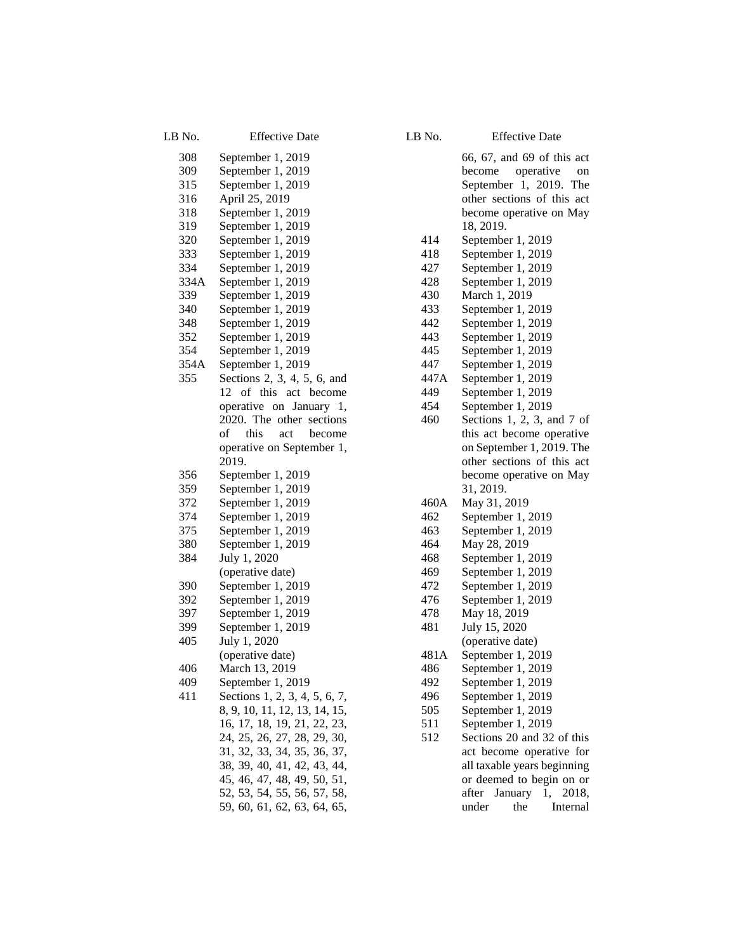| LB No.      | <b>Effective Date</b>         |
|-------------|-------------------------------|
| 308         | September 1, 2019             |
| 309         | September 1, 2019             |
| 315         | September 1, 2019             |
| 316         | April 25, 2019                |
| 318         | September 1, 2019             |
| 319         | September 1, 2019             |
| 320         | September 1, 2019             |
| 333         | September 1, 2019             |
| 334         | September 1, 2019             |
| 334A        | September 1, 2019             |
| 339         | September 1, 2019             |
| 340         | September 1, 2019             |
| 348         | September 1, 2019             |
| 352         | September 1, 2019             |
| 354         | September 1, 2019             |
|             |                               |
| 354A<br>355 | September 1, 2019             |
|             | Sections 2, 3, 4, 5, 6, and   |
|             | 12 of this act become         |
|             | operative on January<br>1,    |
|             | 2020. The other sections      |
|             | of<br>this<br>act<br>become   |
|             | operative on September 1,     |
|             | 2019.                         |
| 356         | September 1, 2019             |
| 359         | September 1, 2019             |
| 372         | September 1, 2019             |
| 374         | September 1, 2019             |
| 375         | September 1, 2019             |
| 380         | September 1, 2019             |
| 384         | July 1, 2020                  |
|             | (operative date)              |
| 390         | September 1, 2019             |
| 392         | September 1, 2019             |
| 397         | September 1, 2019             |
| 399         | September 1, 2019             |
| 405         | July 1, 2020                  |
|             | (operative date)              |
| 406         | March 13, 2019                |
| 409         | September 1, 2019             |
| 411         | Sections 1, 2, 3, 4, 5, 6, 7, |
|             | 8, 9, 10, 11, 12, 13, 14, 15, |
|             | 16, 17, 18, 19, 21, 22, 23,   |
|             | 24, 25, 26, 27, 28, 29, 30,   |
|             | 31, 32, 33, 34, 35, 36, 37,   |
|             | 38, 39, 40, 41, 42, 43, 44,   |
|             | 45, 46, 47, 48, 49, 50, 51,   |
|             | 52, 53, 54, 55, 56, 57, 58,   |
|             | 59, 60, 61, 62, 63, 64, 65,   |

### LB No. Effective Date

66, 67, and 69 of this act become operative on September 1, 2019. The other sections of this act become operative on May 18, 2019. 414 September 1, 2019 418 September 1, 2019 427 September 1, 2019 428 September 1, 2019 430 March 1, 2019 433 September 1, 2019 442 September 1, 2019 443 September 1, 2019 445 September 1, 2019 447 September 1, 2019 447A September 1, 2019 449 September 1, 2019 454 September 1, 2019 460 Sections 1, 2, 3, and 7 of this act become operative on September 1, 2019. The other sections of this act become operative on May 31, 2019. 460A May 31, 2019 462 September 1, 2019 463 September 1, 2019 464 May 28, 2019 468 September 1, 2019 469 September 1, 2019 472 September 1, 2019 476 September 1, 2019 478 May 18, 2019 481 July 15, 2020 (operative date) 481A September 1, 2019 486 September 1, 2019 492 September 1, 2019 496 September 1, 2019 505 September 1, 2019 511 September 1, 2019 512 Sections 20 and 32 of this act become operative for all taxable years beginning or deemed to begin on or after January 1, 2018, under the Internal